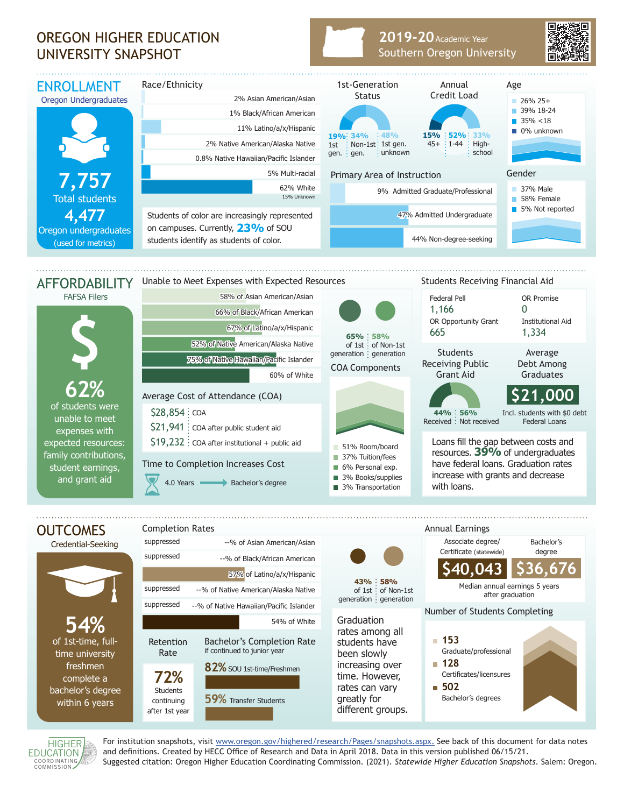## OREGON HIGHER EDUCATION UNIVERSITY SNAPSHOT

## **2019-20** Academic Year Southern Oregon University



of students were unable to meet expenses with expected resources: family contributions, student earnings, and grant aid







For institution snapshots, visit www.oregon.gov/highered/research/Pages/snapshots.aspx. See back of this document for data notes and definitions. Created by HECC Office of Research and Data in April 2018. Data in this version published 06/15/21. Suggested citation: Oregon Higher Education Coordinating Commission. (2021). *Statewide Higher Education Snapshots*. Salem: Oregon.